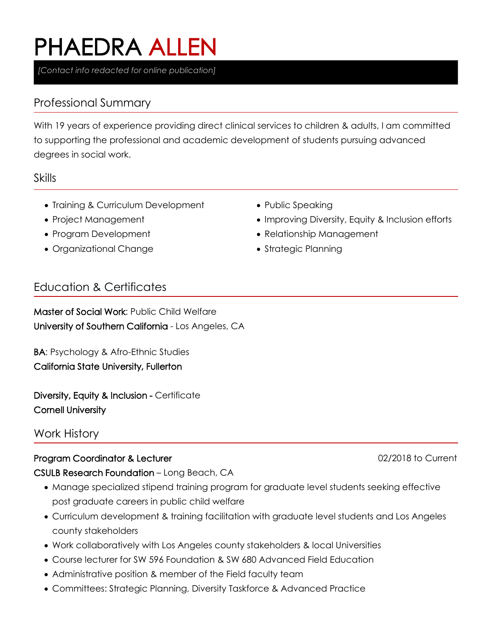# PHAEDRA ALLEN

*[Contact info redacted for online publication]*

# Professional Summary

With 19 years of experience providing direct clinical services to children & adults, I am committed to supporting the professional and academic development of students pursuing advanced degrees in social work.

## Skills

- Training & Curriculum Development
- Project Management
- Program Development
- Organizational Change
- Public Speaking
- Improving Diversity, Equity & Inclusion efforts
- Relationship Management
- Strategic Planning

## Education & Certificates

Master of Social Work: Public Child Welfare University of Southern California - Los Angeles, CA

BA: Psychology & Afro-Ethnic Studies California State University, Fullerton

Diversity, Equity & Inclusion - Certificate Cornell University

## Work History

## Program Coordinator & Lecturer **Coordination** & Lecturer **COO** Current **COO** Current **COO** Current **COO** Current **COO** Current **COO** Current **COO** Current **COO** Current **COO** Current **COO** Current **COO** Current **COO** Curre

CSULB Research Foundation – Long Beach, CA

- Manage specialized stipend training program for graduate level students seeking effective post graduate careers in public child welfare
- Curriculum development & training facilitation with graduate level students and Los Angeles county stakeholders
- Work collaboratively with Los Angeles county stakeholders & local Universities
- Course lecturer for SW 596 Foundation & SW 680 Advanced Field Education
- Administrative position & member of the Field faculty team
- Committees: Strategic Planning, Diversity Taskforce & Advanced Practice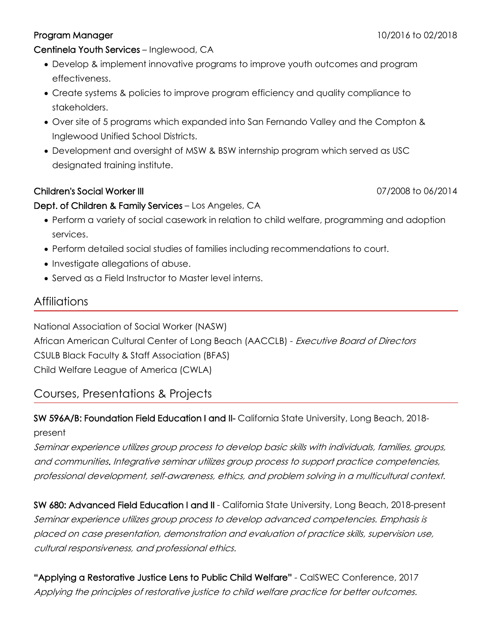#### **Program Manager 2018** 2021 2018 2022 2018

#### Centinela Youth Services– Inglewood, CA

- Develop & implement innovative programs to improve youth outcomes and program effectiveness.
- Create systems & policies to improve program efficiency and quality compliance to stakeholders.
- Over site of 5 programs which expanded into San Fernando Valley and the Compton & Inglewood Unified School Districts.
- Development and oversight of MSW & BSW internship program which served as USC designated training institute.

### Children's Social Worker III 07/2008 to 06/2014

#### Dept. of Children & Family Services – Los Angeles, CA

- Perform a variety of social casework in relation to child welfare, programming and adoption services.
- Perform detailed social studies of families including recommendations to court.
- Investigate allegations of abuse.
- Served as a Field Instructor to Master level interns.

## **Affiliations**

National Association of Social Worker (NASW) African American Cultural Center of Long Beach (AACCLB) - Executive Board of Directors CSULB Black Faculty & Staff Association (BFAS) Child Welfare League of America (CWLA)

## Courses, Presentations & Projects

## SW 596A/B: Foundation Field Education I and II- California State University, Long Beach, 2018present

Seminar experience utilizes group process to develop basic skills with individuals, families, groups, and communities. Integrative seminar utilizes group process to support practice competencies, professional development, self-awareness, ethics, and problem solving in <sup>a</sup> multicultural context.

SW 680: Advanced Field Education I and II - California State University, Long Beach, 2018-present Seminar experience utilizes group process to develop advanced competencies. Emphasis is placed on case presentation, demonstration and evaluation of practice skills, supervision use, cultural responsiveness, and professional ethics.

"Applying a Restorative Justice Lens to Public Child Welfare" - CalSWEC Conference, 2017 Applying the principles of restorative justice to child welfare practice for better outcomes.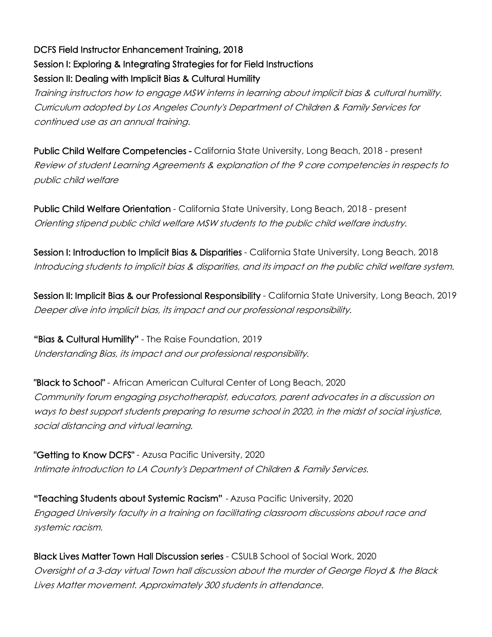## DCFS Field Instructor Enhancement Training, 2018 Session I: Exploring & Integrating Strategies for for Field Instructions Session II: Dealing with Implicit Bias & Cultural Humility

Training instructors how to engage MSW interns in learning about implicit bias & cultural humility. Curriculum adopted by Los Angeles County's Department of Children & Family Services for continued use as an annual training.

Public Child Welfare Competencies - California State University, Long Beach, 2018 - present Review of student Learning Agreements & explanation of the 9 core competencies in respects to public child welfare

Public Child Welfare Orientation - California State University, Long Beach, 2018 - present Orienting stipend public child welfare MSW students to the public child welfare industry.

Session I: Introduction to Implicit Bias & Disparities - California State University, Long Beach, 2018 Introducing students to implicit bias & disparities, and its impact on the public child welfare system.

Session II: Implicit Bias & our Professional Responsibility - California State University, Long Beach, 2019 Deeper dive into implicit bias, its impact and our professional responsibility.

"Bias & Cultural Humility" - The Raise Foundation, 2019 Understanding Bias, its impact and our professional responsibility.

"Black to School" - African American Cultural Center of Long Beach, 2020 Community forum engaging psychotherapist, educators, parent advocates in a discussion on ways to best support students preparing to resume school in 2020, in the midst of social injustice, social distancing and virtual learning.

"Getting to Know DCFS" - Azusa Pacific University, 2020 Intimate introduction to LA County's Department of Children & Family Services.

"Teaching Students about Systemic Racism" - Azusa Pacific University, 2020 Engaged University faculty in <sup>a</sup> training on facilitating classroom discussions about race and systemic racism.

Black Lives Matter Town Hall Discussion series - CSULB School of Social Work, 2020 Oversight of <sup>a</sup> 3-day virtual Town hall discussion about the murder of George Floyd & the Black Lives Matter movement. Approximately 300 students in attendance.